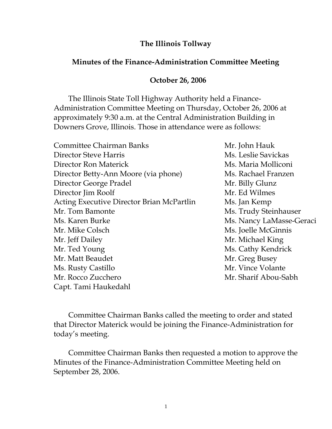## **The Illinois Tollway**

## **Minutes of the Finance-Administration Committee Meeting**

## **October 26, 2006**

 The Illinois State Toll Highway Authority held a Finance-Administration Committee Meeting on Thursday, October 26, 2006 at approximately 9:30 a.m. at the Central Administration Building in Downers Grove, Illinois. Those in attendance were as follows:

| <b>Committee Chairman Banks</b>                  | Mr. John Hauk            |
|--------------------------------------------------|--------------------------|
| Director Steve Harris                            | Ms. Leslie Savickas      |
| Director Ron Materick                            | Ms. Maria Molliconi      |
| Director Betty-Ann Moore (via phone)             | Ms. Rachael Franzen      |
| Director George Pradel                           | Mr. Billy Glunz          |
| Director Jim Roolf                               | Mr. Ed Wilmes            |
| <b>Acting Executive Director Brian McPartlin</b> | Ms. Jan Kemp             |
| Mr. Tom Bamonte                                  | Ms. Trudy Steinhauser    |
| Ms. Karen Burke                                  | Ms. Nancy LaMasse-Geraci |
| Mr. Mike Colsch                                  | Ms. Joelle McGinnis      |
| Mr. Jeff Dailey                                  | Mr. Michael King         |
| Mr. Ted Young                                    | Ms. Cathy Kendrick       |
| Mr. Matt Beaudet                                 | Mr. Greg Busey           |
| Ms. Rusty Castillo                               | Mr. Vince Volante        |
| Mr. Rocco Zucchero                               | Mr. Sharif Abou-Sabh     |
| Capt. Tami Haukedahl                             |                          |

Committee Chairman Banks called the meeting to order and stated that Director Materick would be joining the Finance-Administration for today's meeting.

Committee Chairman Banks then requested a motion to approve the Minutes of the Finance-Administration Committee Meeting held on September 28, 2006.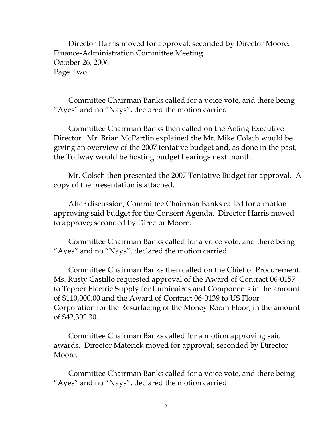Director Harris moved for approval; seconded by Director Moore. Finance-Administration Committee Meeting October 26, 2006 Page Two

Committee Chairman Banks called for a voice vote, and there being "Ayes" and no "Nays", declared the motion carried.

Committee Chairman Banks then called on the Acting Executive Director. Mr. Brian McPartlin explained the Mr. Mike Colsch would be giving an overview of the 2007 tentative budget and, as done in the past, the Tollway would be hosting budget hearings next month.

Mr. Colsch then presented the 2007 Tentative Budget for approval. A copy of the presentation is attached.

After discussion, Committee Chairman Banks called for a motion approving said budget for the Consent Agenda. Director Harris moved to approve; seconded by Director Moore.

Committee Chairman Banks called for a voice vote, and there being "Ayes" and no "Nays", declared the motion carried.

Committee Chairman Banks then called on the Chief of Procurement. Ms. Rusty Castillo requested approval of the Award of Contract 06-0157 to Tepper Electric Supply for Luminaires and Components in the amount of \$110,000.00 and the Award of Contract 06-0139 to US Floor Corporation for the Resurfacing of the Money Room Floor, in the amount of \$42,302.30.

Committee Chairman Banks called for a motion approving said awards. Director Materick moved for approval; seconded by Director Moore.

Committee Chairman Banks called for a voice vote, and there being "Ayes" and no "Nays", declared the motion carried.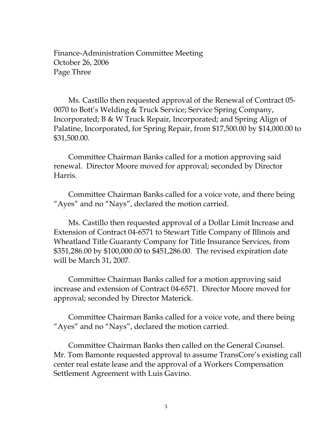Finance-Administration Committee Meeting October 26, 2006 Page Three

 Ms. Castillo then requested approval of the Renewal of Contract 05- 0070 to Bott's Welding & Truck Service; Service Spring Company, Incorporated; B & W Truck Repair, Incorporated; and Spring Align of Palatine, Incorporated, for Spring Repair, from \$17,500.00 by \$14,000.00 to \$31,500.00.

 Committee Chairman Banks called for a motion approving said renewal. Director Moore moved for approval; seconded by Director Harris.

 Committee Chairman Banks called for a voice vote, and there being "Ayes" and no "Nays", declared the motion carried.

 Ms. Castillo then requested approval of a Dollar Limit Increase and Extension of Contract 04-6571 to Stewart Title Company of Illinois and Wheatland Title Guaranty Company for Title Insurance Services, from \$351,286.00 by \$100,000.00 to \$451,286.00. The revised expiration date will be March 31, 2007.

 Committee Chairman Banks called for a motion approving said increase and extension of Contract 04-6571. Director Moore moved for approval; seconded by Director Materick.

 Committee Chairman Banks called for a voice vote, and there being "Ayes" and no "Nays", declared the motion carried.

 Committee Chairman Banks then called on the General Counsel. Mr. Tom Bamonte requested approval to assume TransCore's existing call center real estate lease and the approval of a Workers Compensation Settlement Agreement with Luis Gavino.